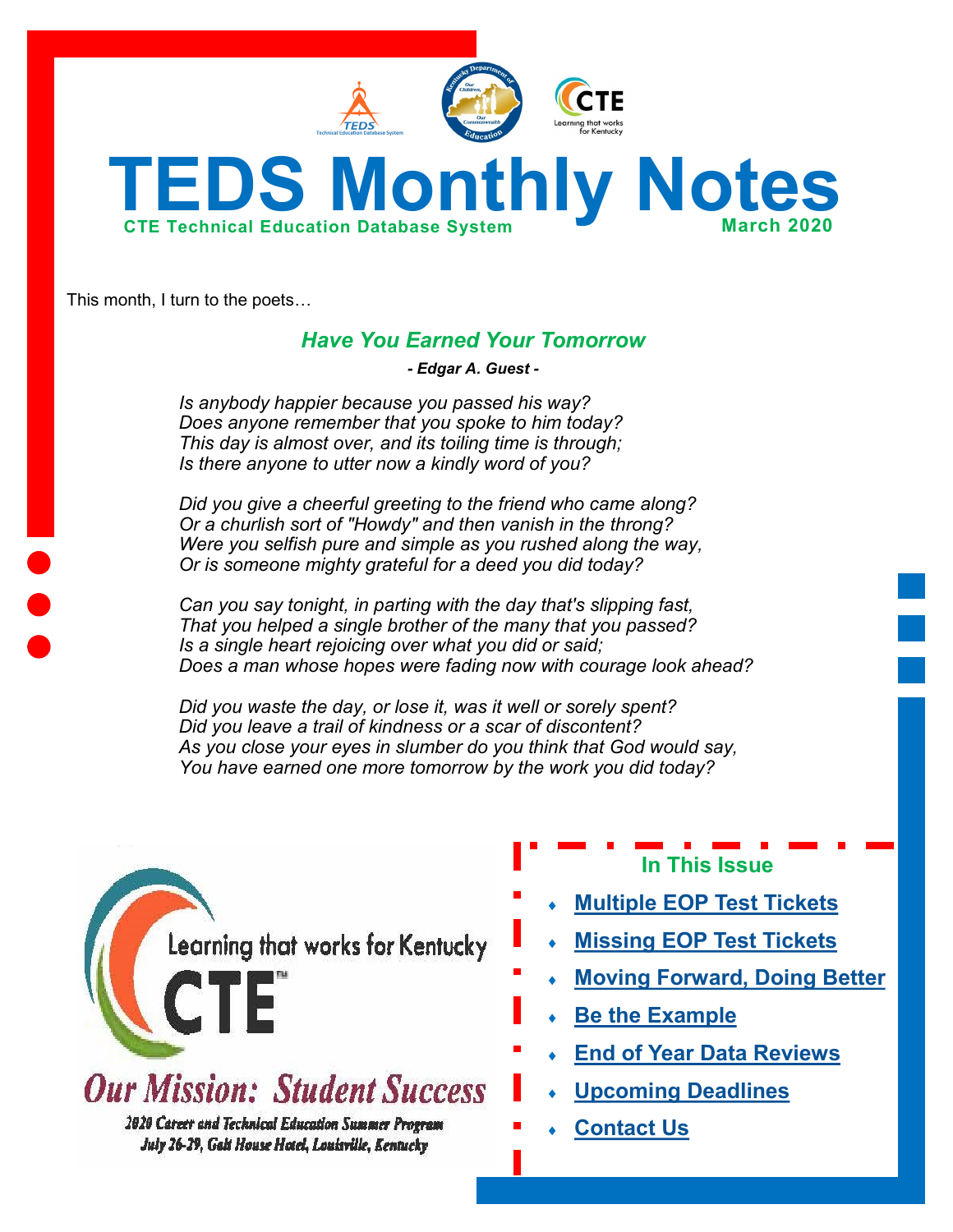



This month, I turn to the poets…

# *Have You Earned Your Tomorrow*

*- Edgar A. Guest -*

*Is anybody happier because you passed his way? Does anyone remember that you spoke to him today? This day is almost over, and its toiling time is through; Is there anyone to utter now a kindly word of you?*

*Did you give a cheerful greeting to the friend who came along? Or a churlish sort of "Howdy" and then vanish in the throng? Were you selfish pure and simple as you rushed along the way, Or is someone mighty grateful for a deed you did today?*

*Can you say tonight, in parting with the day that's slipping fast, That you helped a single brother of the many that you passed? Is a single heart rejoicing over what you did or said; Does a man whose hopes were fading now with courage look ahead?*

*Did you waste the day, or lose it, was it well or sorely spent? Did you leave a trail of kindness or a scar of discontent? As you close your eyes in slumber do you think that God would say, You have earned one more tomorrow by the work you did today?* 

Learning that works for Kentucky

**Our Mission: Student Success** 

**2020 Career and Technical Education Summer Program** July 26-29, Galt House Hotel, Louisville, Kentucky

- **In This Issue**
- **[Multiple EOP Test Tickets](#page-1-0)**
- **[Missing EOP Test Tickets](#page-1-0)**
- **[Moving Forward, Doing Better](#page-2-0)**
- **[Be the Example](#page-2-0)**
- **[End of Year Data Reviews](#page-3-0)**
- **[Upcoming Deadlines](#page-3-0)**
- **[Contact Us](#page-3-0)**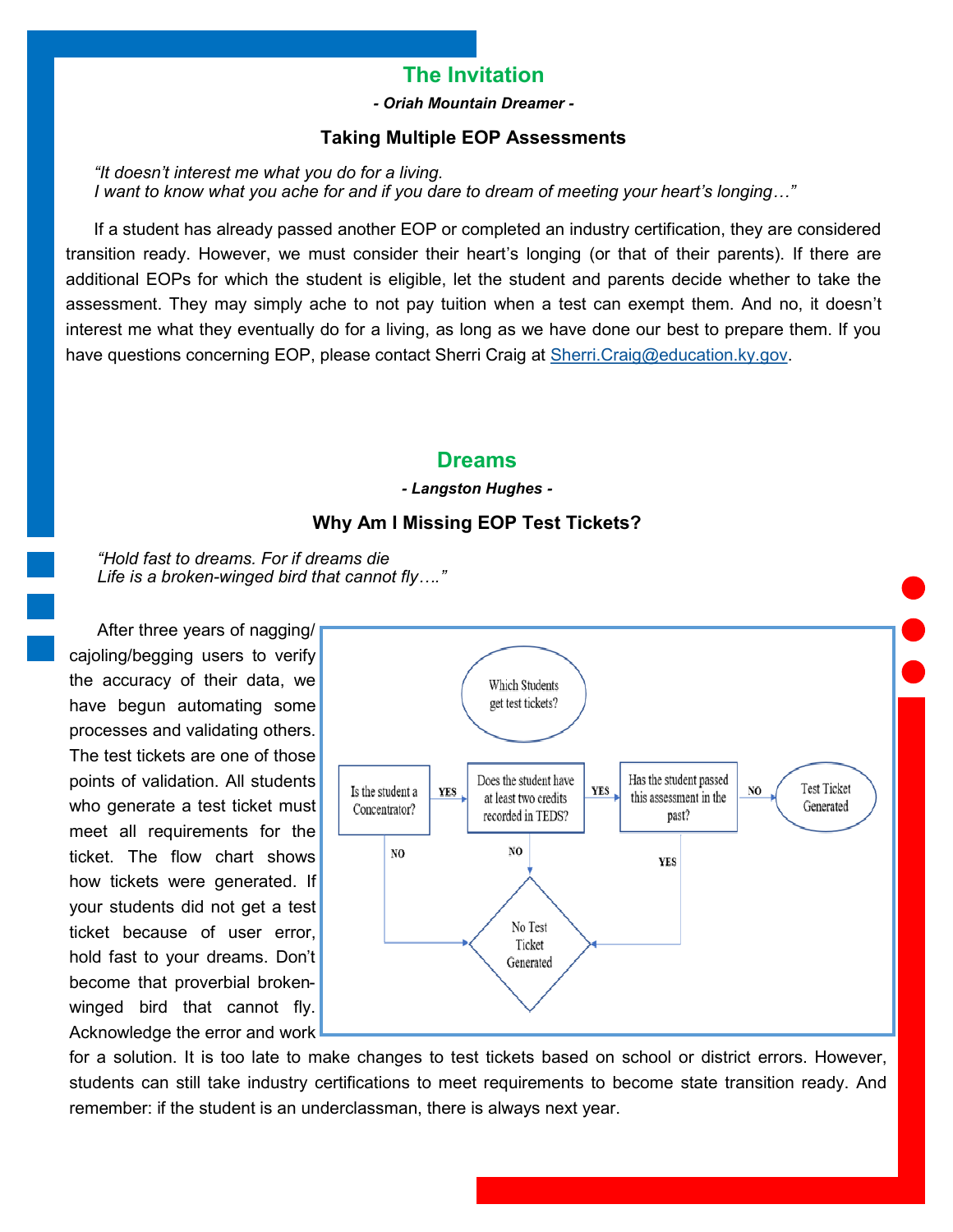# **The Invitation**

*- Oriah Mountain Dreamer -*

## **Taking Multiple EOP Assessments**

<span id="page-1-0"></span>*"It doesn't interest me what you do for a living. I want to know what you ache for and if you dare to dream of meeting your heart's longing…"*

If a student has already passed another EOP or completed an industry certification, they are considered transition ready. However, we must consider their heart's longing (or that of their parents). If there are additional EOPs for which the student is eligible, let the student and parents decide whether to take the assessment. They may simply ache to not pay tuition when a test can exempt them. And no, it doesn't interest me what they eventually do for a living, as long as we have done our best to prepare them. If you have questions concerning EOP, please contact Sherri Craig at [Sherri.Craig@education.ky.gov.](mailto:Sherri.Craig@education.ky.gov)

# **Dreams**

#### *- Langston Hughes -*

## **Why Am I Missing EOP Test Tickets?**

*"Hold fast to dreams. For if dreams die Life is a broken-winged bird that cannot fly…."*

After three years of nagging/ cajoling/begging users to verify the accuracy of their data, we have begun automating some processes and validating others. The test tickets are one of those points of validation. All students who generate a test ticket must meet all requirements for the ticket. The flow chart shows how tickets were generated. If your students did not get a test ticket because of user error, hold fast to your dreams. Don't become that proverbial brokenwinged bird that cannot fly. Acknowledge the error and work



for a solution. It is too late to make changes to test tickets based on school or district errors. However, students can still take industry certifications to meet requirements to become state transition ready. And remember: if the student is an underclassman, there is always next year.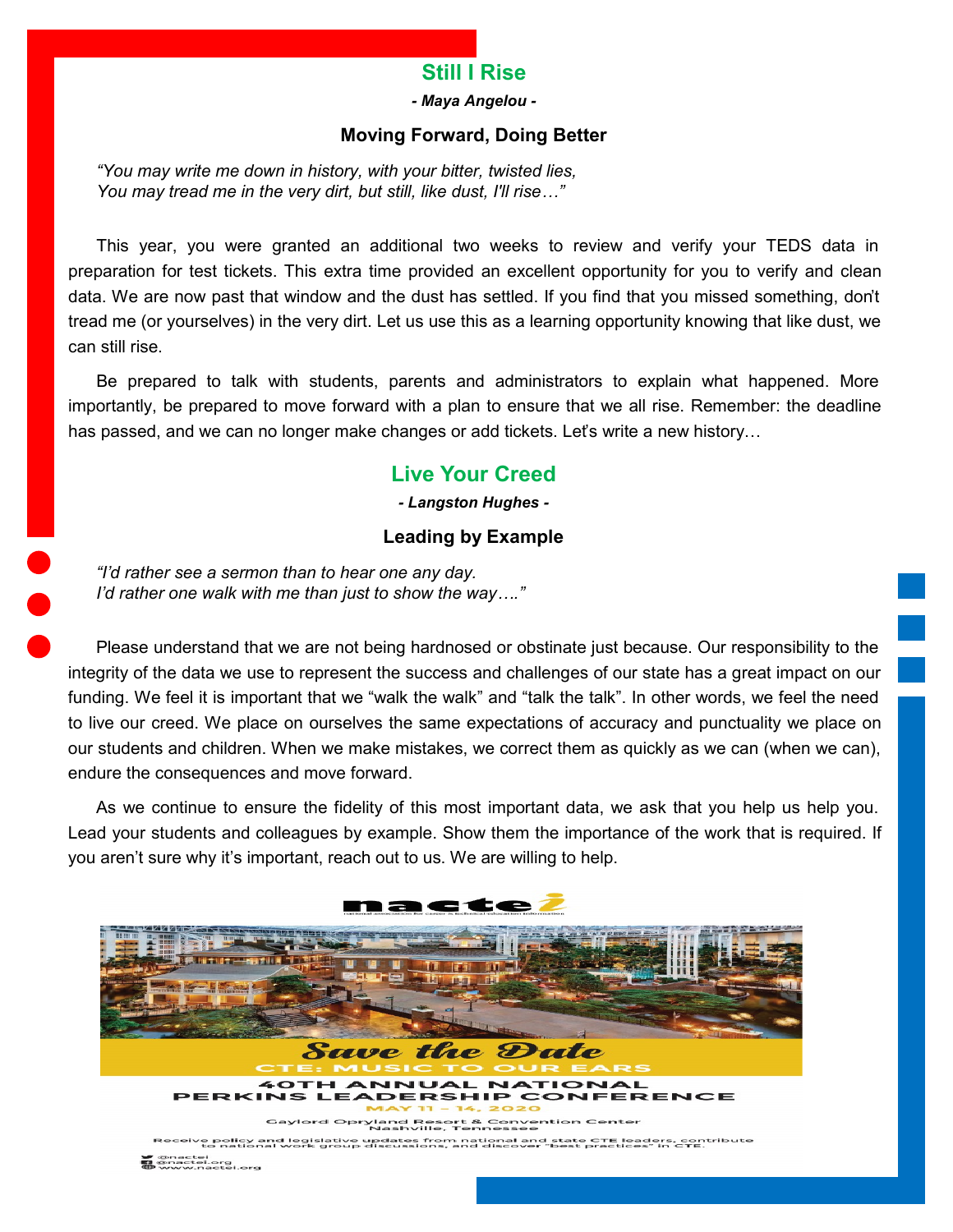# **Still I Rise**

*- Maya Angelou -*

## **Moving Forward, Doing Better**

<span id="page-2-0"></span>*"You may write me down in history, with your bitter, twisted lies, You may tread me in the very dirt, but still, like dust, I'll rise…"*

This year, you were granted an additional two weeks to review and verify your TEDS data in preparation for test tickets. This extra time provided an excellent opportunity for you to verify and clean data. We are now past that window and the dust has settled. If you find that you missed something, don't tread me (or yourselves) in the very dirt. Let us use this as a learning opportunity knowing that like dust, we can still rise.

Be prepared to talk with students, parents and administrators to explain what happened. More importantly, be prepared to move forward with a plan to ensure that we all rise. Remember: the deadline has passed, and we can no longer make changes or add tickets. Let's write a new history...

# **Live Your Creed**

*- Langston Hughes -*

# **Leading by Example**

*"I'd rather see a sermon than to hear one any day. I'd rather one walk with me than just to show the way…."*

Please understand that we are not being hardnosed or obstinate just because. Our responsibility to the integrity of the data we use to represent the success and challenges of our state has a great impact on our funding. We feel it is important that we "walk the walk" and "talk the talk". In other words, we feel the need to live our creed. We place on ourselves the same expectations of accuracy and punctuality we place on our students and children. When we make mistakes, we correct them as quickly as we can (when we can), endure the consequences and move forward.

As we continue to ensure the fidelity of this most important data, we ask that you help us help you. Lead your students and colleagues by example. Show them the importance of the work that is required. If you aren't sure why it's important, reach out to us. We are willing to help.